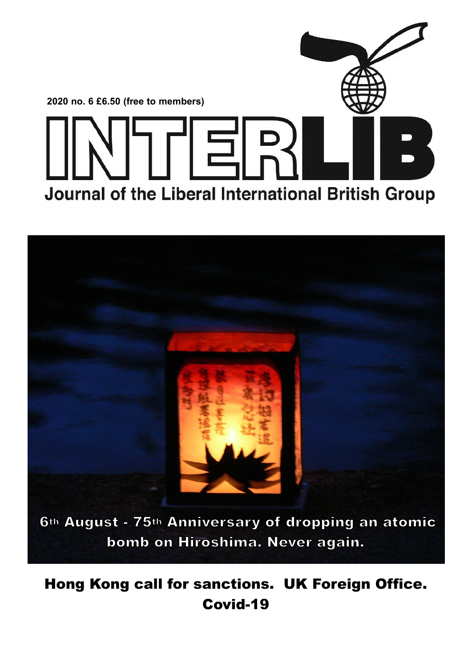



**Hong Kong call for sanctions. UK Foreign Office. Covid-19**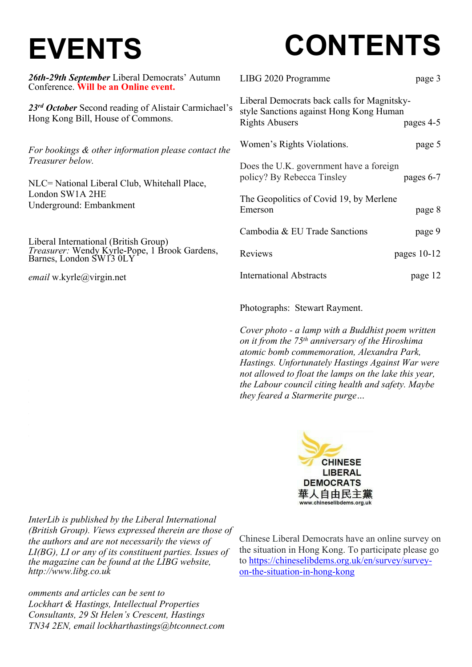## **EVENTS**

# **CONTENTS**

| 26th-29th September Liberal Democrats' Autumn<br>Conference. Will be an Online event.     | LIBG 2020 Programme<br>page 3                                                                                                |
|-------------------------------------------------------------------------------------------|------------------------------------------------------------------------------------------------------------------------------|
| 23rd October Second reading of Alistair Carmichael's<br>Hong Kong Bill, House of Commons. | Liberal Democrats back calls for Magnitsky-<br>style Sanctions against Hong Kong Human<br><b>Rights Abusers</b><br>pages 4-5 |
| For bookings & other information please contact the                                       | Women's Rights Violations.<br>page 5                                                                                         |
| Treasurer below.<br>NLC= National Liberal Club, Whitehall Place,                          | Does the U.K. government have a foreign<br>policy? By Rebecca Tinsley<br>pages $6-7$                                         |
| London SW1A 2HE<br>Underground: Embankment                                                | The Geopolitics of Covid 19, by Merlene<br>Emerson<br>page 8                                                                 |
| Liberal International (British Group)                                                     | Cambodia & EU Trade Sanctions<br>page 9                                                                                      |
| Treasurer: Wendy Kyrle-Pope, 1 Brook Gardens, Barnes, London SW13 0LY                     | Reviews<br>pages $10-12$                                                                                                     |
| <i>email</i> w.kyrle@virgin.net                                                           | <b>International Abstracts</b><br>page 12                                                                                    |
|                                                                                           | Photographs: Stewart Rayment.                                                                                                |

*Cover photo - a lamp with a Buddhist poem written on it from the 75th anniversary of the Hiroshima atomic bomb commemoration, Alexandra Park, Hastings. Unfortunately Hastings Against War were not allowed to float the lamps on the lake this year, the Labour council citing health and safety. Maybe they feared a Starmerite purge…*



*InterLib is published by the Liberal International (British Group). Views expressed therein are those of the authors and are not necessarily the views of LI(BG), LI or any of its constituent parties. Issues of the magazine can be found at the LIBG website, http://www.libg.co.uk*

*omments and articles can be sent to Lockhart & Hastings, Intellectual Properties Consultants, 29 St Helen's Crescent, Hastings TN34 2EN, email lockharthastings@btconnect.com* Chinese Liberal Democrats have an online survey on the situation in Hong Kong. To participate please go to https://chineselibdems.org.uk/en/survey/surveyon-the-situation-in-hong-kong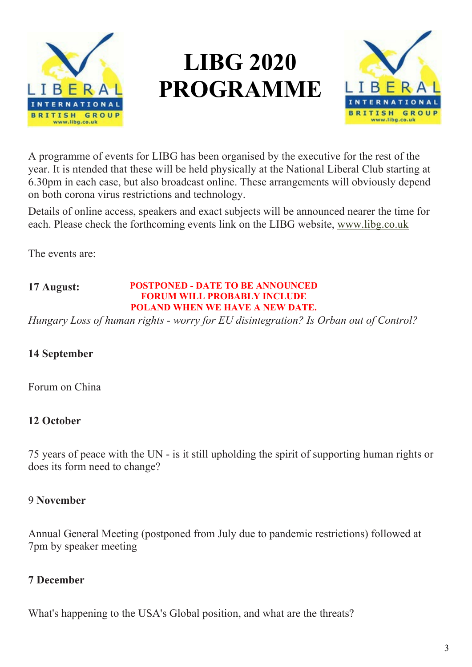

### **LIBG 2020 PROGRAMME**



A programme of events for LIBG has been organised by the executive for the rest of the year. It is ntended that these will be held physically at the National Liberal Club starting at 6.30pm in each case, but also broadcast online. These arrangements will obviously depend on both corona virus restrictions and technology.

Details of online access, speakers and exact subjects will be announced nearer the time for each. Please check the forthcoming events link on the LIBG website, www.libg.co.uk

The events are:

#### **17 August: POSTPONED - DATE TO BE ANNOUNCED FORUM WILL PROBABLY INCLUDE POLAND WHEN WE HAVE A NEW DATE.**

*Hungary Loss of human rights - worry for EU disintegration? Is Orban out of Control?*

### **14 September**

Forum on China

### **12 October**

75 years of peace with the UN - is it still upholding the spirit of supporting human rights or does its form need to change?

### 9 **November**

Annual General Meeting (postponed from July due to pandemic restrictions) followed at 7pm by speaker meeting

### **7 December**

What's happening to the USA's Global position, and what are the threats?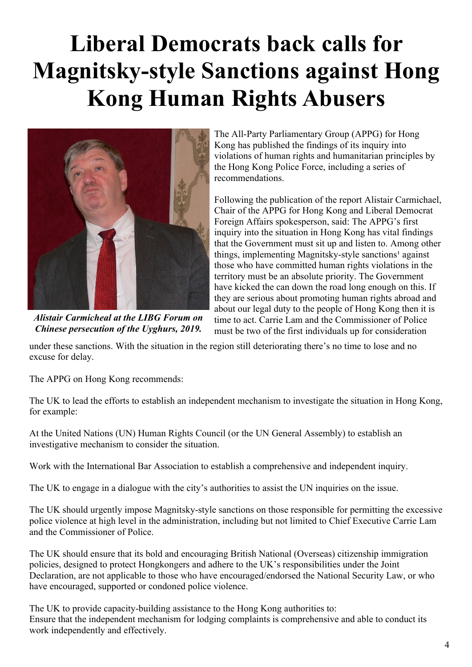### **Liberal Democrats back calls for Magnitsky-style Sanctions against Hong Kong Human Rights Abusers**



*Alistair Carmicheal at the LIBG Forum on Chinese persecution of the Uyghurs, 2019.*

The All-Party Parliamentary Group (APPG) for Hong Kong has published the findings of its inquiry into violations of human rights and humanitarian principles by the Hong Kong Police Force, including a series of recommendations.

Following the publication of the report Alistair Carmichael, Chair of the APPG for Hong Kong and Liberal Democrat Foreign Affairs spokesperson, said: The APPG's first inquiry into the situation in Hong Kong has vital findings that the Government must sit up and listen to. Among other things, implementing Magnitsky-style sanctions<sup>1</sup> against those who have committed human rights violations in the territory must be an absolute priority. The Government have kicked the can down the road long enough on this. If they are serious about promoting human rights abroad and about our legal duty to the people of Hong Kong then it is time to act. Carrie Lam and the Commissioner of Police must be two of the first individuals up for consideration

under these sanctions. With the situation in the region still deteriorating there's no time to lose and no excuse for delay.

The APPG on Hong Kong recommends:

The UK to lead the efforts to establish an independent mechanism to investigate the situation in Hong Kong, for example:

At the United Nations (UN) Human Rights Council (or the UN General Assembly) to establish an investigative mechanism to consider the situation.

Work with the International Bar Association to establish a comprehensive and independent inquiry.

The UK to engage in a dialogue with the city's authorities to assist the UN inquiries on the issue.

The UK should urgently impose Magnitsky-style sanctions on those responsible for permitting the excessive police violence at high level in the administration, including but not limited to Chief Executive Carrie Lam and the Commissioner of Police.

The UK should ensure that its bold and encouraging British National (Overseas) citizenship immigration policies, designed to protect Hongkongers and adhere to the UK's responsibilities under the Joint Declaration, are not applicable to those who have encouraged/endorsed the National Security Law, or who have encouraged, supported or condoned police violence.

The UK to provide capacity-building assistance to the Hong Kong authorities to: Ensure that the independent mechanism for lodging complaints is comprehensive and able to conduct its work independently and effectively.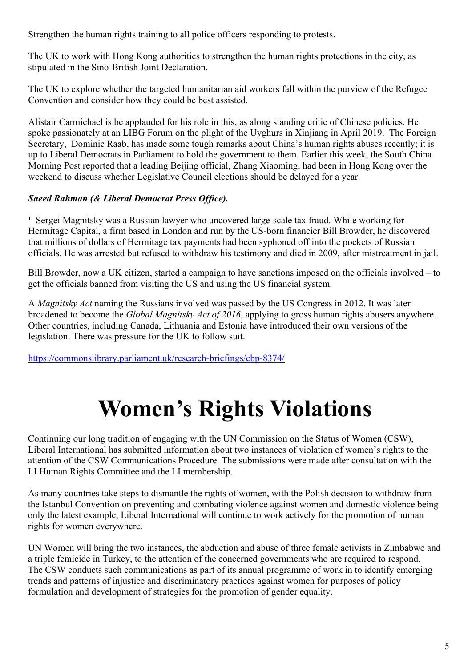Strengthen the human rights training to all police officers responding to protests.

The UK to work with Hong Kong authorities to strengthen the human rights protections in the city, as stipulated in the Sino-British Joint Declaration.

The UK to explore whether the targeted humanitarian aid workers fall within the purview of the Refugee Convention and consider how they could be best assisted.

Alistair Carmichael is be applauded for his role in this, as along standing critic of Chinese policies. He spoke passionately at an LIBG Forum on the plight of the Uyghurs in Xinjiang in April 2019. The Foreign Secretary, Dominic Raab, has made some tough remarks about China's human rights abuses recently; it is up to Liberal Democrats in Parliament to hold the government to them. Earlier this week, the South China Morning Post reported that a leading Beijing official, Zhang Xiaoming, had been in Hong Kong over the weekend to discuss whether Legislative Council elections should be delayed for a year.

### *Saeed Rahman (& Liberal Democrat Press Office).*

<sup>1</sup> Sergei Magnitsky was a Russian lawyer who uncovered large-scale tax fraud. While working for Hermitage Capital, a firm based in London and run by the US-born financier Bill Browder, he discovered that millions of dollars of Hermitage tax payments had been syphoned off into the pockets of Russian officials. He was arrested but refused to withdraw his testimony and died in 2009, after mistreatment in jail.

Bill Browder, now a UK citizen, started a campaign to have sanctions imposed on the officials involved – to get the officials banned from visiting the US and using the US financial system.

A *Magnitsky Act* naming the Russians involved was passed by the US Congress in 2012. It was later broadened to become the *Global Magnitsky Act of 2016*, applying to gross human rights abusers anywhere. Other countries, including Canada, Lithuania and Estonia have introduced their own versions of the legislation. There was pressure for the UK to follow suit.

https://commonslibrary.parliament.uk/research-briefings/cbp-8374/

### **Women's Rights Violations**

Continuing our long tradition of engaging with the UN Commission on the Status of Women (CSW), Liberal International has submitted information about two instances of violation of women's rights to the attention of the CSW Communications Procedure. The submissions were made after consultation with the LI Human Rights Committee and the LI membership.

As many countries take steps to dismantle the rights of women, with the Polish decision to withdraw from the Istanbul Convention on preventing and combating violence against women and domestic violence being only the latest example, Liberal International will continue to work actively for the promotion of human rights for women everywhere.

UN Women will bring the two instances, the abduction and abuse of three female activists in Zimbabwe and a triple femicide in Turkey, to the attention of the concerned governments who are required to respond. The CSW conducts such communications as part of its annual programme of work in to identify emerging trends and patterns of injustice and discriminatory practices against women for purposes of policy formulation and development of strategies for the promotion of gender equality.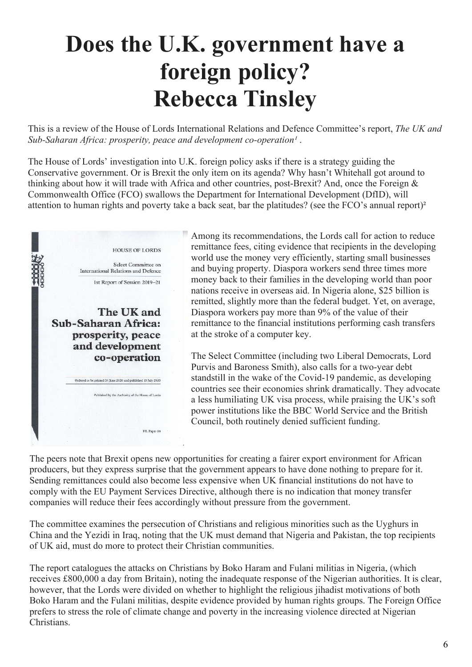### **Does the U.K. government have a foreign policy? Rebecca Tinsley**

This is a review of the House of Lords International Relations and Defence Committee's report, *The UK and* Sub-Saharan Africa: prosperity, peace and development co-operation<sup>1</sup>.

The House of Lords' investigation into U.K. foreign policy asks if there is a strategy guiding the Conservative government. Or is Brexit the only item on its agenda? Why hasn't Whitehall got around to thinking about how it will trade with Africa and other countries, post-Brexit? And, once the Foreign & Commonwealth Office (FCO) swallows the Department for International Development (DfID), will attention to human rights and poverty take a back seat, bar the platitudes? (see the FCO's annual report)²



Among its recommendations, the Lords call for action to reduce remittance fees, citing evidence that recipients in the developing world use the money very efficiently, starting small businesses and buying property. Diaspora workers send three times more money back to their families in the developing world than poor nations receive in overseas aid. In Nigeria alone, \$25 billion is remitted, slightly more than the federal budget. Yet, on average, Diaspora workers pay more than 9% of the value of their remittance to the financial institutions performing cash transfers at the stroke of a computer key.

The Select Committee (including two Liberal Democrats, Lord Purvis and Baroness Smith), also calls for a two-year debt standstill in the wake of the Covid-19 pandemic, as developing countries see their economies shrink dramatically. They advocate a less humiliating UK visa process, while praising the UK's soft power institutions like the BBC World Service and the British Council, both routinely denied sufficient funding.

The peers note that Brexit opens new opportunities for creating a fairer export environment for African producers, but they express surprise that the government appears to have done nothing to prepare for it. Sending remittances could also become less expensive when UK financial institutions do not have to comply with the EU Payment Services Directive, although there is no indication that money transfer companies will reduce their fees accordingly without pressure from the government.

The committee examines the persecution of Christians and religious minorities such as the Uyghurs in China and the Yezidi in Iraq, noting that the UK must demand that Nigeria and Pakistan, the top recipients of UK aid, must do more to protect their Christian communities.

The report catalogues the attacks on Christians by Boko Haram and Fulani militias in Nigeria, (which receives £800,000 a day from Britain), noting the inadequate response of the Nigerian authorities. It is clear, however, that the Lords were divided on whether to highlight the religious jihadist motivations of both Boko Haram and the Fulani militias, despite evidence provided by human rights groups. The Foreign Office prefers to stress the role of climate change and poverty in the increasing violence directed at Nigerian Christians.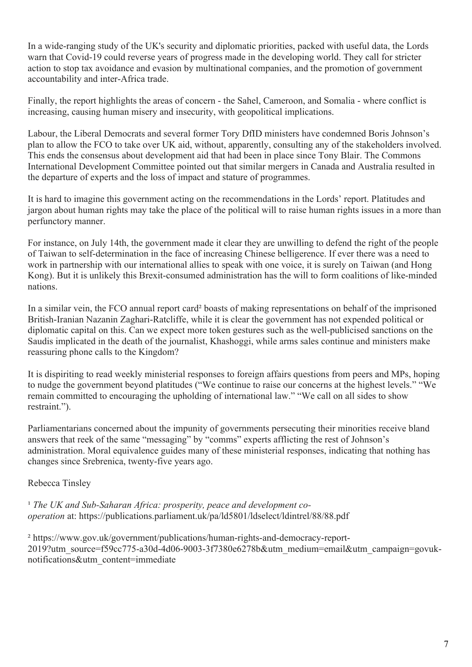In a wide-ranging study of the UK's security and diplomatic priorities, packed with useful data, the Lords warn that Covid-19 could reverse years of progress made in the developing world. They call for stricter action to stop tax avoidance and evasion by multinational companies, and the promotion of government accountability and inter-Africa trade.

Finally, the report highlights the areas of concern - the Sahel, Cameroon, and Somalia - where conflict is increasing, causing human misery and insecurity, with geopolitical implications.

Labour, the Liberal Democrats and several former Tory DfID ministers have condemned Boris Johnson's plan to allow the FCO to take over UK aid, without, apparently, consulting any of the stakeholders involved. This ends the consensus about development aid that had been in place since Tony Blair. The Commons International Development Committee pointed out that similar mergers in Canada and Australia resulted in the departure of experts and the loss of impact and stature of programmes.

It is hard to imagine this government acting on the recommendations in the Lords' report. Platitudes and jargon about human rights may take the place of the political will to raise human rights issues in a more than perfunctory manner.

For instance, on July 14th, the government made it clear they are unwilling to defend the right of the people of Taiwan to self-determination in the face of increasing Chinese belligerence. If ever there was a need to work in partnership with our international allies to speak with one voice, it is surely on Taiwan (and Hong Kong). But it is unlikely this Brexit-consumed administration has the will to form coalitions of like-minded nations.

In a similar vein, the FCO annual report card² boasts of making representations on behalf of the imprisoned British-Iranian Nazanin Zaghari-Ratcliffe, while it is clear the government has not expended political or diplomatic capital on this. Can we expect more token gestures such as the well-publicised sanctions on the Saudis implicated in the death of the journalist, Khashoggi, while arms sales continue and ministers make reassuring phone calls to the Kingdom?

It is dispiriting to read weekly ministerial responses to foreign affairs questions from peers and MPs, hoping to nudge the government beyond platitudes ("We continue to raise our concerns at the highest levels." "We remain committed to encouraging the upholding of international law." "We call on all sides to show restraint.").

Parliamentarians concerned about the impunity of governments persecuting their minorities receive bland answers that reek of the same "messaging" by "comms" experts afflicting the rest of Johnson's administration. Moral equivalence guides many of these ministerial responses, indicating that nothing has changes since Srebrenica, twenty-five years ago.

### Rebecca Tinsley

<sup>1</sup> The UK and Sub-Saharan Africa: prosperity, peace and development co*operation* at: https://publications.parliament.uk/pa/ld5801/ldselect/ldintrel/88/88.pdf

² https://www.gov.uk/government/publications/human-rights-and-democracy-report-2019?utm\_source=f59cc775-a30d-4d06-9003-3f7380e6278b&utm\_medium=email&utm\_campaign=govuknotifications&utm\_content=immediate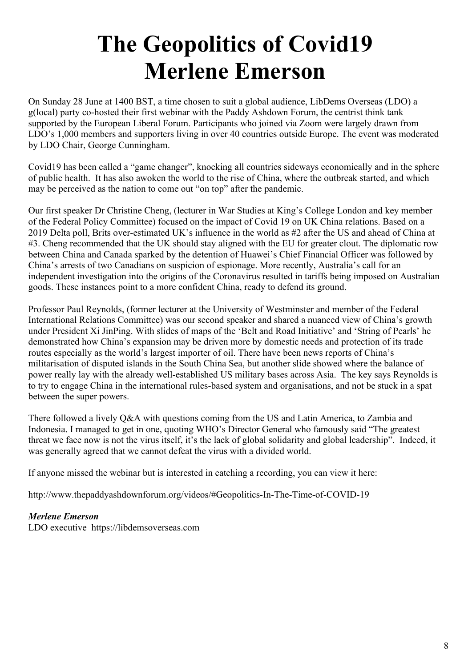### **The Geopolitics of Covid19 Merlene Emerson**

On Sunday 28 June at 1400 BST, a time chosen to suit a global audience, LibDems Overseas (LDO) a g(local) party co-hosted their first webinar with the Paddy Ashdown Forum, the centrist think tank supported by the European Liberal Forum. Participants who joined via Zoom were largely drawn from LDO's 1,000 members and supporters living in over 40 countries outside Europe. The event was moderated by LDO Chair, George Cunningham.

Covid19 has been called a "game changer", knocking all countries sideways economically and in the sphere of public health. It has also awoken the world to the rise of China, where the outbreak started, and which may be perceived as the nation to come out "on top" after the pandemic.

Our first speaker Dr Christine Cheng, (lecturer in War Studies at King's College London and key member of the Federal Policy Committee) focused on the impact of Covid 19 on UK China relations. Based on a 2019 Delta poll, Brits over-estimated UK's influence in the world as #2 after the US and ahead of China at #3. Cheng recommended that the UK should stay aligned with the EU for greater clout. The diplomatic row between China and Canada sparked by the detention of Huawei's Chief Financial Officer was followed by China's arrests of two Canadians on suspicion of espionage. More recently, Australia's call for an independent investigation into the origins of the Coronavirus resulted in tariffs being imposed on Australian goods. These instances point to a more confident China, ready to defend its ground.

Professor Paul Reynolds, (former lecturer at the University of Westminster and member of the Federal International Relations Committee) was our second speaker and shared a nuanced view of China's growth under President Xi JinPing. With slides of maps of the 'Belt and Road Initiative' and 'String of Pearls' he demonstrated how China's expansion may be driven more by domestic needs and protection of its trade routes especially as the world's largest importer of oil. There have been news reports of China's militarisation of disputed islands in the South China Sea, but another slide showed where the balance of power really lay with the already well-established US military bases across Asia. The key says Reynolds is to try to engage China in the international rules-based system and organisations, and not be stuck in a spat between the super powers.

There followed a lively Q&A with questions coming from the US and Latin America, to Zambia and Indonesia. I managed to get in one, quoting WHO's Director General who famously said "The greatest threat we face now is not the virus itself, it's the lack of global solidarity and global leadership". Indeed, it was generally agreed that we cannot defeat the virus with a divided world.

If anyone missed the webinar but is interested in catching a recording, you can view it here:

http://www.thepaddyashdownforum.org/videos/#Geopolitics-In-The-Time-of-COVID-19

### *Merlene Emerson*

LDO executive https://libdemsoverseas.com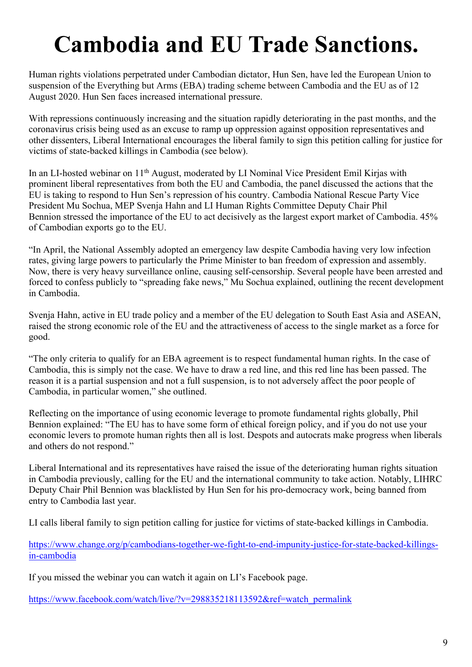### **Cambodia and EU Trade Sanctions.**

Human rights violations perpetrated under Cambodian dictator, Hun Sen, have led the European Union to suspension of the Everything but Arms (EBA) trading scheme between Cambodia and the EU as of 12 August 2020. Hun Sen faces increased international pressure.

With repressions continuously increasing and the situation rapidly deteriorating in the past months, and the coronavirus crisis being used as an excuse to ramp up oppression against opposition representatives and other dissenters, Liberal International encourages the liberal family to sign this petition calling for justice for victims of state-backed killings in Cambodia (see below).

In an LI-hosted webinar on 11th August, moderated by LI Nominal Vice President Emil Kirjas with prominent liberal representatives from both the EU and Cambodia, the panel discussed the actions that the EU is taking to respond to Hun Sen's repression of his country. Cambodia National Rescue Party Vice President Mu Sochua, MEP Svenja Hahn and LI Human Rights Committee Deputy Chair Phil Bennion stressed the importance of the EU to act decisively as the largest export market of Cambodia. 45% of Cambodian exports go to the EU.

"In April, the National Assembly adopted an emergency law despite Cambodia having very low infection rates, giving large powers to particularly the Prime Minister to ban freedom of expression and assembly. Now, there is very heavy surveillance online, causing self-censorship. Several people have been arrested and forced to confess publicly to "spreading fake news," Mu Sochua explained, outlining the recent development in Cambodia.

Svenja Hahn, active in EU trade policy and a member of the EU delegation to South East Asia and ASEAN, raised the strong economic role of the EU and the attractiveness of access to the single market as a force for good.

"The only criteria to qualify for an EBA agreement is to respect fundamental human rights. In the case of Cambodia, this is simply not the case. We have to draw a red line, and this red line has been passed. The reason it is a partial suspension and not a full suspension, is to not adversely affect the poor people of Cambodia, in particular women," she outlined.

Reflecting on the importance of using economic leverage to promote fundamental rights globally, Phil Bennion explained: "The EU has to have some form of ethical foreign policy, and if you do not use your economic levers to promote human rights then all is lost. Despots and autocrats make progress when liberals and others do not respond."

Liberal International and its representatives have raised the issue of the deteriorating human rights situation in Cambodia previously, calling for the EU and the international community to take action. Notably, LIHRC Deputy Chair Phil Bennion was blacklisted by Hun Sen for his pro-democracy work, being banned from entry to Cambodia last year.

LI calls liberal family to sign petition calling for justice for victims of state-backed killings in Cambodia.

https://www.change.org/p/cambodians-together-we-fight-to-end-impunity-justice-for-state-backed-killingsin-cambodia

If you missed the webinar you can watch it again on LI's Facebook page.

https://www.facebook.com/watch/live/?v=298835218113592&ref=watch\_permalink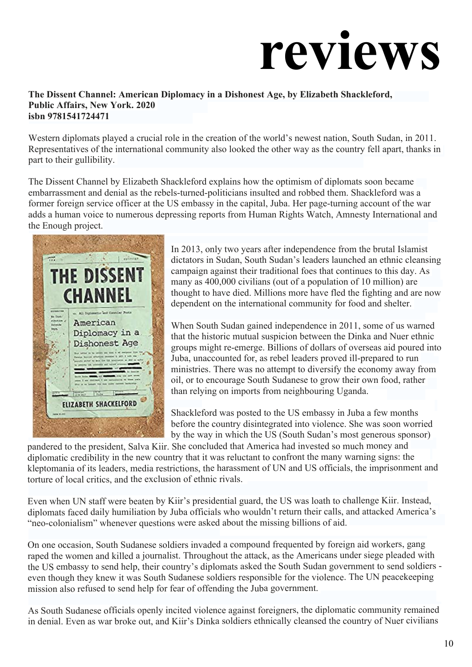# **reviews**

#### **The Dissent Channel: American Diplomacy in a Dishonest Age, by Elizabeth Shackleford, Public Affairs, New York. 2020 isbn 9781541724471**

Western diplomats played a crucial role in the creation of the world's newest nation, South Sudan, in 2011. Representatives of the international community also looked the other way as the country fell apart, thanks in part to their gullibility.

The Dissent Channel by Elizabeth Shackleford explains how the optimism of diplomats soon became embarrassment and denial as the rebels-turned-politicians insulted and robbed them. Shackleford was a former foreign service officer at the US embassy in the capital, Juba. Her page-turning account of the war adds a human voice to numerous depressing reports from Human Rights Watch, Amnesty International and the Enough project.



In 2013, only two years after independence from the brutal Islamist dictators in Sudan, South Sudan's leaders launched an ethnic cleansing campaign against their traditional foes that continues to this day. As many as 400,000 civilians (out of a population of 10 million) are thought to have died. Millions more have fled the fighting and are now dependent on the international community for food and shelter.

When South Sudan gained independence in 2011, some of us warned that the historic mutual suspicion between the Dinka and Nuer ethnic groups might re-emerge. Billions of dollars of overseas aid poured into Juba, unaccounted for, as rebel leaders proved ill-prepared to run ministries. There was no attempt to diversify the economy away from oil, or to encourage South Sudanese to grow their own food, rather than relying on imports from neighbouring Uganda.

Shackleford was posted to the US embassy in Juba a few months before the country disintegrated into violence. She was soon worried by the way in which the US (South Sudan's most generous sponsor)

pandered to the president, Salva Kiir. She concluded that America had invested so much money and diplomatic credibility in the new country that it was reluctant to confront the many warning signs: the kleptomania of its leaders, media restrictions, the harassment of UN and US officials, the imprisonment and torture of local critics, and the exclusion of ethnic rivals.

Even when UN staff were beaten by Kiir's presidential guard, the US was loath to challenge Kiir. Instead, diplomats faced daily humiliation by Juba officials who wouldn't return their calls, and attacked America's "neo-colonialism" whenever questions were asked about the missing billions of aid.

On one occasion, South Sudanese soldiers invaded a compound frequented by foreign aid workers, gang raped the women and killed a journalist. Throughout the attack, as the Americans under siege pleaded with the US embassy to send help, their country's diplomats asked the South Sudan government to send soldiers even though they knew it was South Sudanese soldiers responsible for the violence. The UN peacekeeping mission also refused to send help for fear of offending the Juba government.

As South Sudanese officials openly incited violence against foreigners, the diplomatic community remained in denial. Even as war broke out, and Kiir's Dinka soldiers ethnically cleansed the country of Nuer civilians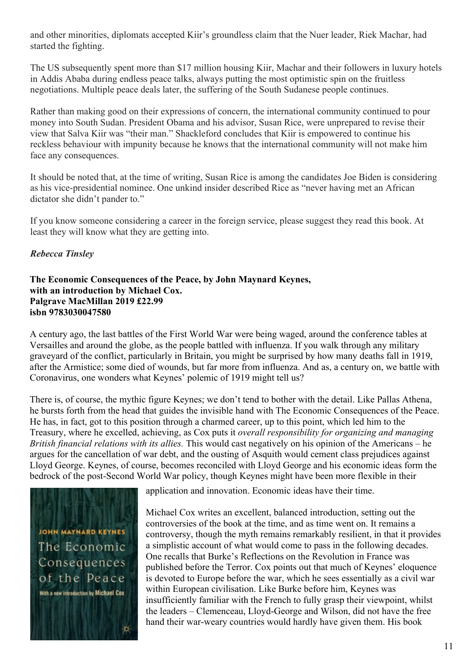and other minorities, diplomats accepted Kiir's groundless claim that the Nuer leader, Riek Machar, had started the fighting.

The US subsequently spent more than \$17 million housing Kiir, Machar and their followers in luxury hotels in Addis Ababa during endless peace talks, always putting the most optimistic spin on the fruitless negotiations. Multiple peace deals later, the suffering of the South Sudanese people continues.

Rather than making good on their expressions of concern, the international community continued to pour money into South Sudan. President Obama and his advisor, Susan Rice, were unprepared to revise their view that Salva Kiir was "their man." Shackleford concludes that Kiir is empowered to continue his reckless behaviour with impunity because he knows that the international community will not make him face any consequences.

It should be noted that, at the time of writing, Susan Rice is among the candidates Joe Biden is considering as his vice-presidential nominee. One unkind insider described Rice as "never having met an African dictator she didn't pander to."

If you know someone considering a career in the foreign service, please suggest they read this book. At least they will know what they are getting into.

### *Rebecca Tinsley*

#### **The Economic Consequences of the Peace, by John Maynard Keynes, with an introduction by Michael Cox. Palgrave MacMillan 2019 £22.99 isbn 9783030047580**

A century ago, the last battles of the First World War were being waged, around the conference tables at Versailles and around the globe, as the people battled with influenza. If you walk through any military graveyard of the conflict, particularly in Britain, you might be surprised by how many deaths fall in 1919, after the Armistice; some died of wounds, but far more from influenza. And as, a century on, we battle with Coronavirus, one wonders what Keynes' polemic of 1919 might tell us?

There is, of course, the mythic figure Keynes; we don't tend to bother with the detail. Like Pallas Athena, he bursts forth from the head that guides the invisible hand with The Economic Consequences of the Peace. He has, in fact, got to this position through a charmed career, up to this point, which led him to the Treasury, where he excelled, achieving, as Cox puts it *overall responsibility for organizing and managing British financial relations with its allies.* This would cast negatively on his opinion of the Americans – he argues for the cancellation of war debt, and the ousting of Asquith would cement class prejudices against Lloyd George. Keynes, of course, becomes reconciled with Lloyd George and his economic ideas form the bedrock of the post-Second World War policy, though Keynes might have been more flexible in their



application and innovation. Economic ideas have their time.

Michael Cox writes an excellent, balanced introduction, setting out the controversies of the book at the time, and as time went on. It remains a controversy, though the myth remains remarkably resilient, in that it provides a simplistic account of what would come to pass in the following decades. One recalls that Burke's Reflections on the Revolution in France was published before the Terror. Cox points out that much of Keynes' eloquence is devoted to Europe before the war, which he sees essentially as a civil war within European civilisation. Like Burke before him, Keynes was insufficiently familiar with the French to fully grasp their viewpoint, whilst the leaders – Clemenceau, Lloyd-George and Wilson, did not have the free hand their war-weary countries would hardly have given them. His book